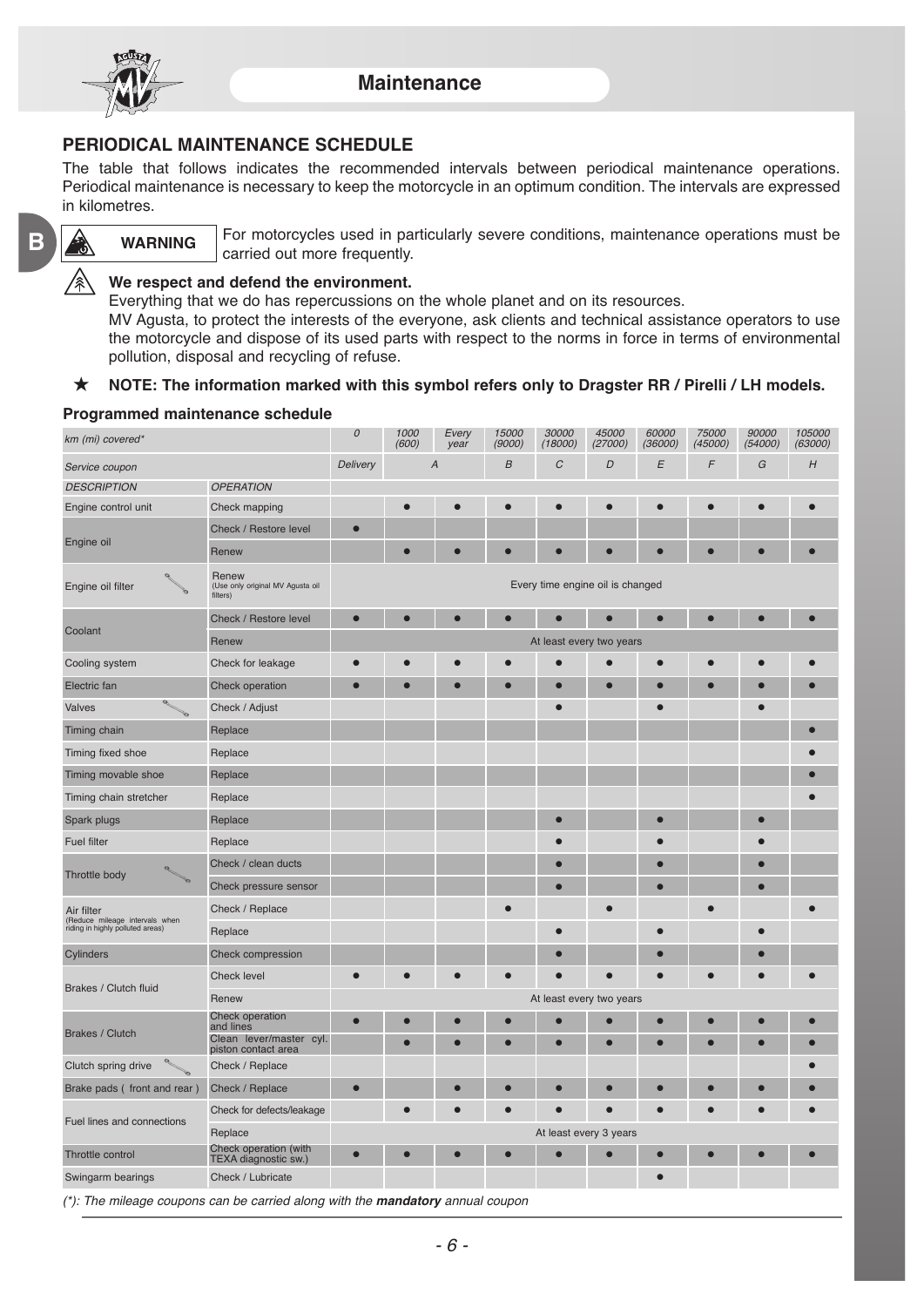

**WARNING**

### **PERIODICAL MAINTENANCE SCHEDULE**

The table that follows indicates the recommended intervals between periodical maintenance operations. Periodical maintenance is necessary to keep the motorcycle in an optimum condition. The intervals are expressed in kilometres.

**B**

For motorcycles used in particularly severe conditions, maintenance operations must be carried out more frequently.

#### **We respect and defend the environment.**

Everything that we do has repercussions on the whole planet and on its resources.

MV Agusta, to protect the interests of the everyone, ask clients and technical assistance operators to use the motorcycle and dispose of its used parts with respect to the norms in force in terms of environmental pollution, disposal and recycling of refuse.

#### **NOTE: The information marked with this symbol refers only to Dragster RR / Pirelli / LH models.**

#### **Programmed maintenance schedule**

| km (mi) covered*                                                                 |                                                       | $\cal O$                         | 1000<br>(600)  | Every<br>year | 15000<br>(9000)  | 30000<br>(18000) | 45000<br>(27000) | 60000<br>(36000) | 75000<br>(45000) | 90000<br>(54000) | 105000<br>(63000) |
|----------------------------------------------------------------------------------|-------------------------------------------------------|----------------------------------|----------------|---------------|------------------|------------------|------------------|------------------|------------------|------------------|-------------------|
| Service coupon                                                                   |                                                       | Delivery                         | $\overline{A}$ |               | $\boldsymbol{B}$ | C                | D                | Е                | $\sqrt{2}$       | G                | H                 |
| <b>DESCRIPTION</b>                                                               | <b>OPERATION</b>                                      |                                  |                |               |                  |                  |                  |                  |                  |                  |                   |
| Engine control unit                                                              | Check mapping                                         |                                  | $\bullet$      | $\bullet$     | $\bullet$        | $\bullet$        | $\bullet$        |                  | $\bullet$        | $\bullet$        |                   |
| Engine oil                                                                       | Check / Restore level                                 | $\bullet$                        |                |               |                  |                  |                  |                  |                  |                  |                   |
|                                                                                  | Renew                                                 |                                  |                |               |                  |                  |                  |                  |                  | г                |                   |
| Engine oil filter                                                                | Renew<br>(Use only original MV Agusta oil<br>filters) | Every time engine oil is changed |                |               |                  |                  |                  |                  |                  |                  |                   |
|                                                                                  | Check / Restore level                                 | $\bullet$                        | О              |               | $\bullet$        |                  |                  | $\bullet$        |                  | $\bullet$        |                   |
| Coolant                                                                          | Renew                                                 | At least every two years         |                |               |                  |                  |                  |                  |                  |                  |                   |
| Cooling system                                                                   | Check for leakage                                     |                                  |                |               |                  |                  |                  |                  |                  |                  |                   |
| Electric fan                                                                     | Check operation                                       |                                  |                |               |                  |                  |                  |                  |                  |                  |                   |
| Valves                                                                           | Check / Adjust                                        |                                  |                |               |                  | ∙                |                  |                  |                  | Ċ                |                   |
| Timing chain                                                                     | Replace                                               |                                  |                |               |                  |                  |                  |                  |                  |                  |                   |
| Timing fixed shoe                                                                | Replace                                               |                                  |                |               |                  |                  |                  |                  |                  |                  |                   |
| Timing movable shoe                                                              | Replace                                               |                                  |                |               |                  |                  |                  |                  |                  |                  |                   |
| Timing chain stretcher                                                           | Replace                                               |                                  |                |               |                  |                  |                  |                  |                  |                  |                   |
| Spark plugs                                                                      | Replace                                               |                                  |                |               |                  |                  |                  |                  |                  | Ō                |                   |
| <b>Fuel filter</b>                                                               | Replace                                               |                                  |                |               |                  |                  |                  |                  |                  |                  |                   |
|                                                                                  | Check / clean ducts                                   |                                  |                |               |                  | o                |                  |                  |                  | ●                |                   |
| Throttle body                                                                    | Check pressure sensor                                 |                                  |                |               |                  |                  |                  |                  |                  | Ō                |                   |
| Air filter<br>(Reduce mileage intervals when<br>riding in highly polluted areas) | Check / Replace                                       |                                  |                |               |                  |                  |                  |                  |                  |                  |                   |
|                                                                                  | Replace                                               |                                  |                |               |                  |                  |                  |                  |                  | ●                |                   |
| Cylinders                                                                        | Check compression                                     |                                  |                |               |                  |                  |                  |                  |                  | e                |                   |
| Brakes / Clutch fluid                                                            | Check level                                           |                                  |                |               | $\bullet$        |                  |                  |                  |                  | $\bullet$        |                   |
|                                                                                  | Renew                                                 | At least every two years         |                |               |                  |                  |                  |                  |                  |                  |                   |
| <b>Brakes / Clutch</b>                                                           | Check operation<br>and lines                          | г                                |                |               |                  |                  |                  |                  |                  | Ō                |                   |
|                                                                                  | Clean lever/master cyl.<br>piston contact area        |                                  |                |               |                  |                  |                  |                  |                  | e                |                   |
| Clutch spring drive                                                              | Check / Replace                                       |                                  |                |               |                  |                  |                  |                  |                  |                  |                   |
| Brake pads (front and rear)                                                      | Check / Replace                                       | $\bullet$                        |                |               |                  |                  |                  |                  |                  | e                |                   |
| Fuel lines and connections                                                       | Check for defects/leakage                             |                                  | ●              | $\bullet$     | $\bullet$        | $\bullet$        | $\bullet$        |                  |                  | ●                |                   |
|                                                                                  | Replace                                               | At least every 3 years           |                |               |                  |                  |                  |                  |                  |                  |                   |
| Throttle control                                                                 | Check operation (with<br>TEXA diagnostic sw.)         |                                  |                |               | Г                |                  |                  |                  |                  |                  |                   |
| Swingarm bearings                                                                | Check / Lubricate                                     |                                  |                |               |                  |                  |                  |                  |                  |                  |                   |
|                                                                                  |                                                       |                                  |                |               |                  |                  |                  |                  |                  |                  |                   |

(\*): The mileage coupons can be carried along with the **mandatory** annual coupon